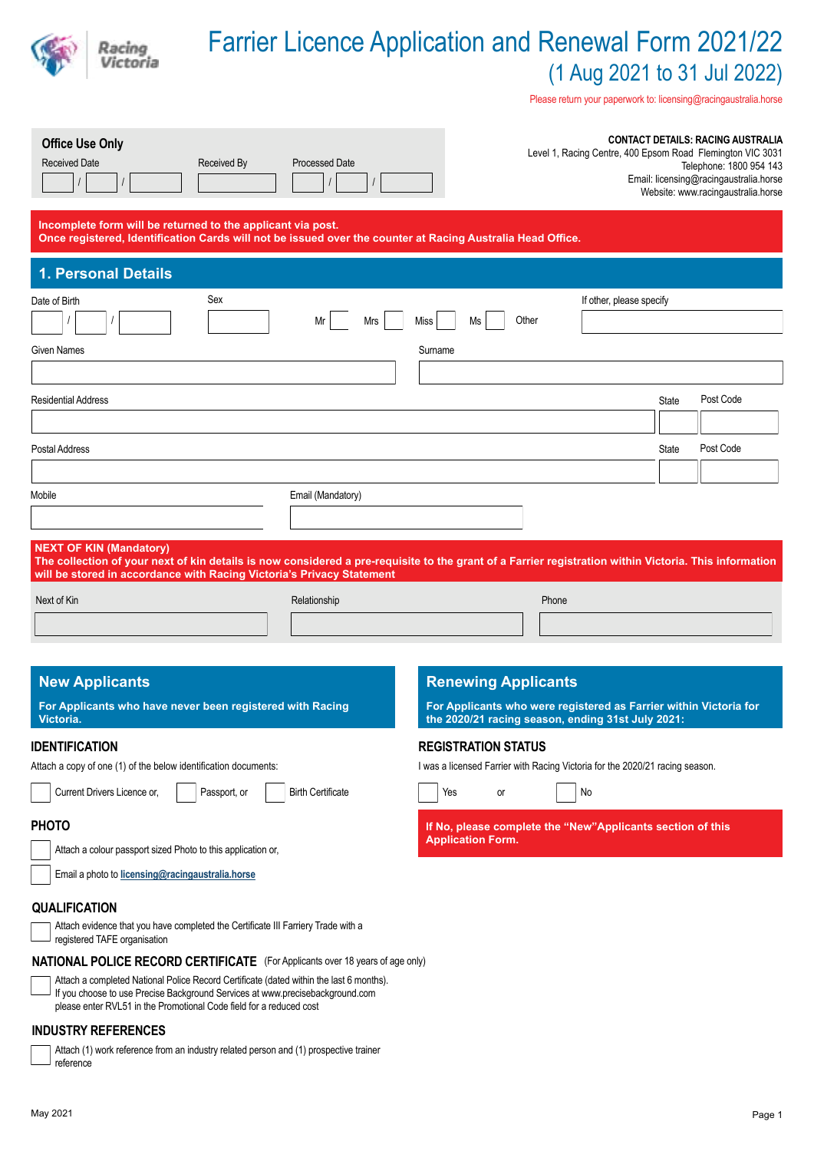# Farrier Licence Application and Renewal Form 2021/22 (1 Aug 2021 to 31 Jul 2022)

Please return your paperwork to: licensing@racingaustralia.horse

| <b>Office Use Only</b><br><b>Received Date</b><br>Received By                                                                                                                                                                                                                                                                           | <b>Processed Date</b>    |                                                                                                                        |       |                          |              | <b>CONTACT DETAILS: RACING AUSTRALIA</b><br>Level 1, Racing Centre, 400 Epsom Road Flemington VIC 3031<br>Telephone: 1800 954 143<br>Email: licensing@racingaustralia.horse<br>Website: www.racingaustralia.horse |
|-----------------------------------------------------------------------------------------------------------------------------------------------------------------------------------------------------------------------------------------------------------------------------------------------------------------------------------------|--------------------------|------------------------------------------------------------------------------------------------------------------------|-------|--------------------------|--------------|-------------------------------------------------------------------------------------------------------------------------------------------------------------------------------------------------------------------|
| Incomplete form will be returned to the applicant via post.<br>Once registered, Identification Cards will not be issued over the counter at Racing Australia Head Office.                                                                                                                                                               |                          |                                                                                                                        |       |                          |              |                                                                                                                                                                                                                   |
| <b>1. Personal Details</b>                                                                                                                                                                                                                                                                                                              |                          |                                                                                                                        |       |                          |              |                                                                                                                                                                                                                   |
| Sex<br>Date of Birth                                                                                                                                                                                                                                                                                                                    |                          |                                                                                                                        |       | If other, please specify |              |                                                                                                                                                                                                                   |
|                                                                                                                                                                                                                                                                                                                                         | Mrs<br>Mr                | Other<br>Miss<br>Ms                                                                                                    |       |                          |              |                                                                                                                                                                                                                   |
| <b>Given Names</b>                                                                                                                                                                                                                                                                                                                      |                          | Surname                                                                                                                |       |                          |              |                                                                                                                                                                                                                   |
|                                                                                                                                                                                                                                                                                                                                         |                          |                                                                                                                        |       |                          |              |                                                                                                                                                                                                                   |
| <b>Residential Address</b>                                                                                                                                                                                                                                                                                                              |                          |                                                                                                                        |       |                          | <b>State</b> | Post Code                                                                                                                                                                                                         |
|                                                                                                                                                                                                                                                                                                                                         |                          |                                                                                                                        |       |                          |              |                                                                                                                                                                                                                   |
| Postal Address                                                                                                                                                                                                                                                                                                                          |                          |                                                                                                                        |       |                          | <b>State</b> | Post Code                                                                                                                                                                                                         |
|                                                                                                                                                                                                                                                                                                                                         |                          |                                                                                                                        |       |                          |              |                                                                                                                                                                                                                   |
| Mobile                                                                                                                                                                                                                                                                                                                                  | Email (Mandatory)        |                                                                                                                        |       |                          |              |                                                                                                                                                                                                                   |
| <b>NEXT OF KIN (Mandatory)</b><br>The collection of your next of kin details is now considered a pre-requisite to the grant of a Farrier registration within Victoria. This information<br>will be stored in accordance with Racing Victoria's Privacy Statement                                                                        |                          |                                                                                                                        |       |                          |              |                                                                                                                                                                                                                   |
| Next of Kin                                                                                                                                                                                                                                                                                                                             | Relationship             |                                                                                                                        | Phone |                          |              |                                                                                                                                                                                                                   |
|                                                                                                                                                                                                                                                                                                                                         |                          |                                                                                                                        |       |                          |              |                                                                                                                                                                                                                   |
| <b>New Applicants</b>                                                                                                                                                                                                                                                                                                                   |                          | <b>Renewing Applicants</b>                                                                                             |       |                          |              |                                                                                                                                                                                                                   |
| For Applicants who have never been registered with Racing<br>Victoria.                                                                                                                                                                                                                                                                  |                          | For Applicants who were registered as Farrier within Victoria for<br>the 2020/21 racing season, ending 31st July 2021: |       |                          |              |                                                                                                                                                                                                                   |
| <b>IDENTIFICATION</b>                                                                                                                                                                                                                                                                                                                   |                          | <b>REGISTRATION STATUS</b>                                                                                             |       |                          |              |                                                                                                                                                                                                                   |
| Attach a copy of one (1) of the below identification documents:                                                                                                                                                                                                                                                                         |                          | I was a licensed Farrier with Racing Victoria for the 2020/21 racing season.                                           |       |                          |              |                                                                                                                                                                                                                   |
| Current Drivers Licence or,<br>Passport, or                                                                                                                                                                                                                                                                                             | <b>Birth Certificate</b> | Yes<br>or                                                                                                              |       | No                       |              |                                                                                                                                                                                                                   |
|                                                                                                                                                                                                                                                                                                                                         |                          |                                                                                                                        |       |                          |              |                                                                                                                                                                                                                   |
|                                                                                                                                                                                                                                                                                                                                         |                          | If No, please complete the "New"Applicants section of this<br><b>Application Form.</b>                                 |       |                          |              |                                                                                                                                                                                                                   |
| <b>PHOTO</b><br>Attach a colour passport sized Photo to this application or,                                                                                                                                                                                                                                                            |                          |                                                                                                                        |       |                          |              |                                                                                                                                                                                                                   |
| Email a photo to licensing@racingaustralia.horse                                                                                                                                                                                                                                                                                        |                          |                                                                                                                        |       |                          |              |                                                                                                                                                                                                                   |
|                                                                                                                                                                                                                                                                                                                                         |                          |                                                                                                                        |       |                          |              |                                                                                                                                                                                                                   |
| <b>QUALIFICATION</b><br>Attach evidence that you have completed the Certificate III Farriery Trade with a<br>registered TAFE organisation                                                                                                                                                                                               |                          |                                                                                                                        |       |                          |              |                                                                                                                                                                                                                   |
|                                                                                                                                                                                                                                                                                                                                         |                          |                                                                                                                        |       |                          |              |                                                                                                                                                                                                                   |
| <b>NATIONAL POLICE RECORD CERTIFICATE</b> (For Applicants over 18 years of age only)<br>Attach a completed National Police Record Certificate (dated within the last 6 months).<br>If you choose to use Precise Background Services at www.precisebackground.com<br>please enter RVL51 in the Promotional Code field for a reduced cost |                          |                                                                                                                        |       |                          |              |                                                                                                                                                                                                                   |

reference

Racing<br>Victoria

Attach (1) work reference from an industry related person and (1) prospective trainer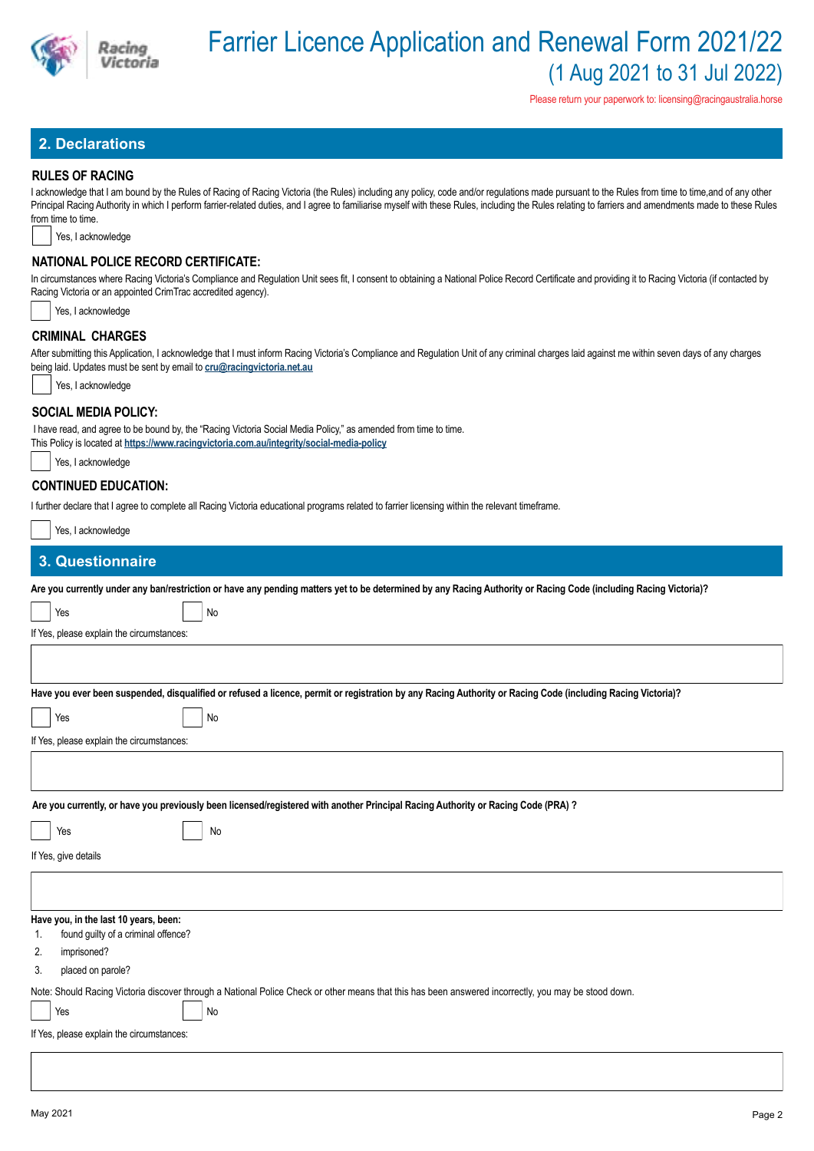

Please return your paperwork to: licensing@racingaustralia.horse

# **2. Declarations**

### **RULES OF RACING**

I acknowledge that I am bound by the Rules of Racing of Racing Victoria (the Rules) including any policy, code and/or regulations made pursuant to the Rules from time to time,and of any other Principal Racing Authority in which I perform farrier-related duties, and I agree to familiarise myself with these Rules, including the Rules relating to farriers and amendments made to these Rules from time to time.

Yes, I acknowledge

## **NATIONAL POLICE RECORD CERTIFICATE:**

In circumstances where Racing Victoria's Compliance and Regulation Unit sees fit, I consent to obtaining a National Police Record Certificate and providing it to Racing Victoria (if contacted by Racing Victoria or an appointed CrimTrac accredited agency).

Yes, I acknowledge

### **CRIMINAL CHARGES**

After submitting this Application, I acknowledge that I must inform Racing Victoria's Compliance and Regulation Unit of any criminal charges laid against me within seven days of any charges being laid. Updates must be sent by email to **cru@racingvictoria.net.au**

Yes, I acknowledge

### **SOCIAL MEDIA POLICY:**

 I have read, and agree to be bound by, the "Racing Victoria Social Media Policy," as amended from time to time. This Policy is located at **https://www.racingvictoria.com.au/integrity/social-media-policy**

|  | Yes, I acknowledge |
|--|--------------------|
|--|--------------------|

## **CONTINUED EDUCATION:**

I further declare that I agree to complete all Racing Victoria educational programs related to farrier licensing within the relevant timeframe.

| Yes, I acknowledge                                                                                                                                               |
|------------------------------------------------------------------------------------------------------------------------------------------------------------------|
| 3. Questionnaire                                                                                                                                                 |
| Are you currently under any ban/restriction or have any pending matters yet to be determined by any Racing Authority or Racing Code (including Racing Victoria)? |
| No<br>Yes                                                                                                                                                        |
| If Yes, please explain the circumstances:                                                                                                                        |
|                                                                                                                                                                  |
| Have you ever been suspended, disqualified or refused a licence, permit or registration by any Racing Authority or Racing Code (including Racing Victoria)?      |
| No<br>Yes                                                                                                                                                        |
| If Yes, please explain the circumstances:                                                                                                                        |
|                                                                                                                                                                  |
| Are you currently, or have you previously been licensed/registered with another Principal Racing Authority or Racing Code (PRA) ?                                |
| No<br>Yes                                                                                                                                                        |
| If Yes, give details                                                                                                                                             |
|                                                                                                                                                                  |
| Have you, in the last 10 years, been:<br>found guilty of a criminal offence?<br>1.                                                                               |
| imprisoned?<br>2.                                                                                                                                                |
| placed on parole?<br>3.                                                                                                                                          |
| Note: Should Racing Victoria discover through a National Police Check or other means that this has been answered incorrectly, you may be stood down.             |
| Yes<br>No                                                                                                                                                        |
| If Yes, please explain the circumstances:                                                                                                                        |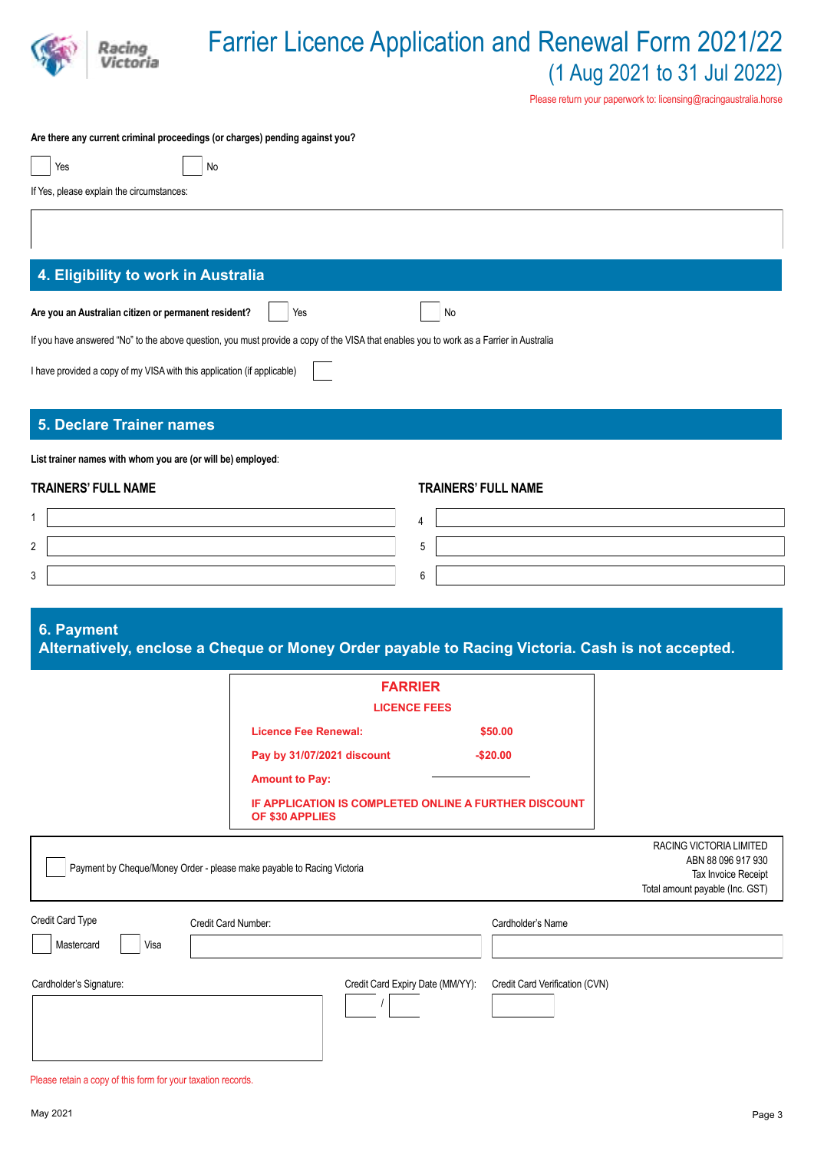

# Farrier Licence Application and Renewal Form 2021/22 (1 Aug 2021 to 31 Jul 2022)

Please return your paperwork to: licensing@racingaustralia.horse

### **Are there any current criminal proceedings (or charges) pending against you?**

| Yes | No |
|-----|----|
|-----|----|

If Yes, please explain the circumstances:

# **4. Eligibility to work in Australia**

| Are you an Australian citizen or permanent resident? | 'Yes | l No |
|------------------------------------------------------|------|------|
|                                                      |      |      |

If you have answered "No" to the above question, you must provide a copy of the VISA that enables you to work as a Farrier in Australia

I have provided a copy of my VISA with this application (if applicable)

# **5. Declare Trainer names**

**List trainer names with whom you are (or will be) employed**:

### **TRAINERS' FULL NAME TRAINERS' FULL NAME**

# **6. Payment**

**Alternatively, enclose a Cheque or Money Order payable to Racing Victoria. Cash is not accepted.**

|                                        | <b>FARRIER</b><br><b>LICENCE FEES</b>                                                                                                                                 |                                |                                                                                                         |
|----------------------------------------|-----------------------------------------------------------------------------------------------------------------------------------------------------------------------|--------------------------------|---------------------------------------------------------------------------------------------------------|
|                                        | <b>Licence Fee Renewal:</b><br>Pay by 31/07/2021 discount<br><b>Amount to Pay:</b><br><b>IF APPLICATION IS COMPLETED ONLINE A FURTHER DISCOUNT</b><br>OF \$30 APPLIES | \$50.00<br>$-$20.00$           |                                                                                                         |
|                                        | Payment by Cheque/Money Order - please make payable to Racing Victoria                                                                                                |                                | RACING VICTORIA LIMITED<br>ABN 88 096 917 930<br>Tax Invoice Receipt<br>Total amount payable (Inc. GST) |
| Credit Card Type<br>Visa<br>Mastercard | Credit Card Number:                                                                                                                                                   | Cardholder's Name              |                                                                                                         |
| Cardholder's Signature:                | Credit Card Expiry Date (MM/YY):                                                                                                                                      | Credit Card Verification (CVN) |                                                                                                         |

Please retain a copy of this form for your taxation records.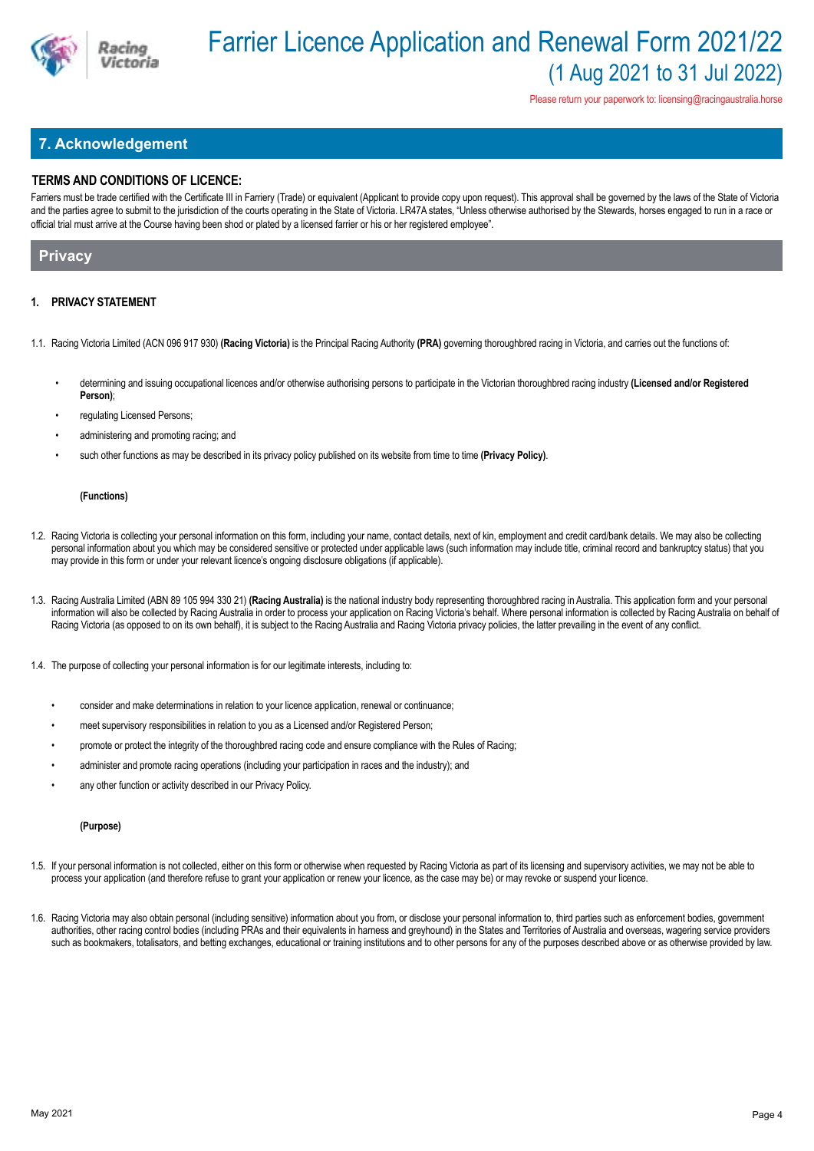

Please return your paperwork to: licensing@racingaustralia.horse

# **7. Acknowledgement**

## **TERMS AND CONDITIONS OF LICENCE:**

Farriers must be trade certified with the Certificate III in Farriery (Trade) or equivalent (Applicant to provide copy upon request). This approval shall be governed by the laws of the State of Victoria and the parties agree to submit to the jurisdiction of the courts operating in the State of Victoria. LR47A states, "Unless otherwise authorised by the Stewards, horses engaged to run in a race or official trial must arrive at the Course having been shod or plated by a licensed farrier or his or her registered employee".

# **Privacy**

### **1. PRIVACY STATEMENT**

- 1.1. Racing Victoria Limited (ACN 096 917 930) **(Racing Victoria)** is the Principal Racing Authority **(PRA)** governing thoroughbred racing in Victoria, and carries out the functions of:
	- determining and issuing occupational licences and/or otherwise authorising persons to participate in the Victorian thoroughbred racing industry **(Licensed and/or Registered Person)**;
	- regulating Licensed Persons:
	- administering and promoting racing; and
	- such other functions as may be described in its privacy policy published on its website from time to time **(Privacy Policy)**.

### **(Functions)**

- 1.2. Racing Victoria is collecting your personal information on this form, including your name, contact details, next of kin, employment and credit card/bank details. We may also be collecting personal information about you which may be considered sensitive or protected under applicable laws (such information may include title, criminal record and bankruptcy status) that you may provide in this form or under your relevant licence's ongoing disclosure obligations (if applicable).
- 1.3. Racing Australia Limited (ABN 89 105 994 330 21) **(Racing Australia)** is the national industry body representing thoroughbred racing in Australia. This application form and your personal information will also be collected by Racing Australia in order to process your application on Racing Victoria's behalf. Where personal information is collected by Racing Australia on behalf of Racing Victoria (as opposed to on its own behalf), it is subject to the Racing Australia and Racing Victoria privacy policies, the latter prevailing in the event of any conflict.
- 1.4. The purpose of collecting your personal information is for our legitimate interests, including to:
	- consider and make determinations in relation to your licence application, renewal or continuance;
	- meet supervisory responsibilities in relation to you as a Licensed and/or Registered Person;
	- promote or protect the integrity of the thoroughbred racing code and ensure compliance with the Rules of Racing;
	- administer and promote racing operations (including your participation in races and the industry); and
	- any other function or activity described in our Privacy Policy.

### **(Purpose)**

- 1.5. If your personal information is not collected, either on this form or otherwise when requested by Racing Victoria as part of its licensing and supervisory activities, we may not be able to process your application (and therefore refuse to grant your application or renew your licence, as the case may be) or may revoke or suspend your licence.
- 1.6. Racing Victoria may also obtain personal (including sensitive) information about you from, or disclose your personal information to, third parties such as enforcement bodies, government authorities, other racing control bodies (including PRAs and their equivalents in harness and greyhound) in the States and Territories of Australia and overseas, wagering service providers such as bookmakers, totalisators, and betting exchanges, educational or training institutions and to other persons for any of the purposes described above or as otherwise provided by law.